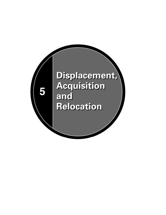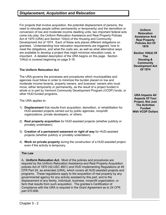# *Displacement, Acquisition and Relocation*

For projects that involve acquisition, the potential displacement of persons, the need to relocate people (either permanently or temporarily) and the demolition or conversion of low and moderate income dwelling units, two important federal acts come into play: the Uniform Relocation Assistance and Real Property Policies Act of 1970 (URA) and Section 104(d) of the Housing and Community Development Act of 1974. Each of these acts places different obligations on grantees. Understanding how relocation requirements are triggered, how to meet the obligations, and what the costs are, as well as what alternative ways are available to develop a project that might minimize relocation costs, is important. A detailed description of the URA begins on this page. Section 104(d) is covered beginning on page 5-16.

## **The Uniform Relocation Act**

The URA governs the processes and procedures which municipalities and agencies must follow in order to minimize the burden placed on low and moderate income tenants, property owners, and business' owners who must move, either temporarily or permanently, as the result of a project funded in whole or in part by Vermont Community Development Program (VCDP) funds, or other HUD-funded programs.

The URA applies to:

- 1) **Displacement** that results from acquisition, demolition, or rehabilitation for HUD-assisted projects carried out by public agencies, nonprofit organizations, private developers, or others.
- 2) **Real property acquisition** for HUD-assisted projects (whether publicly or privately undertaken).
- 3) **Creation of a permanent easement or right of way** for HUD-assisted projects (whether publicly or privately undertaken).
- 4) **Work on private property** during the construction of a HUD-assisted project even if the activity is temporary.

## **The Law**

A**. Uniform Relocation Act.** Most of the policies and procedures are required by the Uniform Relocation Assistance and Real Property Acquisition policies Act of 1970 (42-USC 4601) and HUD Implementing Regulations at 49 CFR Part 24, as amended (URA), which covers all HUD-assisted projects and programs. These regulations apply to the acquisition of real property by any governmental agency for any activity assisted by this part, and to the displacement of any family, individual, business, nonprofit organization, or farm that results from such acquisition. The grantee's Certification of Compliance with the URA is required in the Grant Agreement as to 24 CFR part 570.606.

**Uniform Relocation Assistance And Real Property Policies Act Of 1970** 

**Section 104(d) Of The Housing & Community Development Act Of 1974** 

**URA Impacts All Aspects Of Your Project, Not Just The Activities Funded With VCDP Dollars**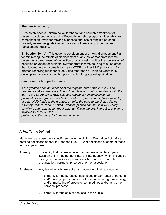## **The Law** (continued)

URA establishes a uniform policy for the fair and equitable treatment of persons displaced as a result of Federally assisted programs. It establishes compensation levels for moving expenses and loss of tangible personal property as well as guidelines for provision of temporary or permanent replacement housing.

B. **Section 104(d).** This governs development of an Anti-displacement Plan for minimizing the effects of displacement of any low or moderate income person as a direct result of demolition of any housing unit or the conversion of occupied or vacant occupiable low/moderate income housing to a use other than low/moderate income housing for VCDP or other HUD programs. Each grantee receiving funds for all activities other than a Planning Grant must develop and follow such a plan prior to submitting a grant application.

# **Sanctions for Nonperformance**

*If the grantee does not meet all of the requirements of the law, it will be required to take corrective action to bring its actions into compliance with the*  law. If the Secretary of HUD issues a finding of noncompliance, then *payments to the grantee may be terminated; or, reduced; or, limit availability of other HUD funds to the grantee; or, refer the case to the United States Attorney General for civil action*. *Noncompliance can result in very costly sanctions and remediation requirements. It is in the best interest of everyone involved to carry out the* 

*project activities correctly from the beginning*.

# **A Few Terms Defined**

Many terms are used in a specific sense in the Uniform Relocation Act. More detailed definitions appear in Handbook 1378. Brief definitions of some of those terms appear here.

| Agency          | The entity that causes a person to become a displaced person.<br>Such an entity may be the State, a State agency (which includes a<br>local government), or a person (which includes a nonprofit<br>organization, partnership, corporation, or association). |
|-----------------|--------------------------------------------------------------------------------------------------------------------------------------------------------------------------------------------------------------------------------------------------------------|
| <b>Business</b> | Any lawful activity, except a farm operation, that is conducted:                                                                                                                                                                                             |

- 1) primarily for the purchase, sale, lease and/or rental of personal and/or real property, and/or for the manufacturing, processing, and/or marketing of products, commodities and/or any other personal property;
- 2) primarily for the sale of services to the public;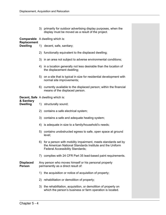|                                       |                                        | 3) primarily for outdoor advertising display purposes, when the<br>display must be moved as a result of the project.                                                     |  |  |
|---------------------------------------|----------------------------------------|--------------------------------------------------------------------------------------------------------------------------------------------------------------------------|--|--|
|                                       | <b>Comparable</b> A dwelling which is: |                                                                                                                                                                          |  |  |
| <b>Replacement</b><br><b>Dwelling</b> |                                        | 1) decent, safe, sanitary;                                                                                                                                               |  |  |
|                                       |                                        | 2) functionally equivalent to the displaced dwelling;                                                                                                                    |  |  |
|                                       |                                        | 3) in an area not subject to adverse environmental conditions;                                                                                                           |  |  |
|                                       |                                        | 4) in a location generally not less desirable than the location of<br>the displacement dwelling;                                                                         |  |  |
|                                       |                                        | 5) on a site that is typical in size for residential development with<br>normal site improvements;                                                                       |  |  |
|                                       |                                        | 6) currently available to the displaced person; within the financial<br>means of the displaced person.                                                                   |  |  |
|                                       |                                        | <b>Decent, Safe</b> A dwelling which is:                                                                                                                                 |  |  |
| & Sanitary<br><b>Dwelling</b>         |                                        | 1) structurally sound;                                                                                                                                                   |  |  |
|                                       |                                        | 2) contains a safe electrical system;                                                                                                                                    |  |  |
|                                       |                                        | 3) contains a safe and adequate heating system;                                                                                                                          |  |  |
|                                       |                                        | 4) is adequate in size to a family/household's needs;                                                                                                                    |  |  |
|                                       |                                        | 5) contains unobstructed egress to safe, open space at ground<br>level;                                                                                                  |  |  |
|                                       |                                        | 6) for a person with mobility impairment, meets standards set by<br>the American National Standards Institute and the Uniform<br><b>Federal Accessibility Standards;</b> |  |  |
|                                       | 7)                                     | complies with 24 CFR Part 35 lead-based paint requirements.                                                                                                              |  |  |
| <b>Displaced</b><br><b>Person</b>     |                                        | Any person who moves himself or his personal property<br>permanently as a direct result of:                                                                              |  |  |
|                                       | 1)                                     | the acquisition or notice of acquisition of property;                                                                                                                    |  |  |
|                                       |                                        | 2) rehabilitation or demolition of property;                                                                                                                             |  |  |
|                                       |                                        | 3) the rehabilitation, acquisition, or demolition of property on<br>which the person's business or farm operation is located.                                            |  |  |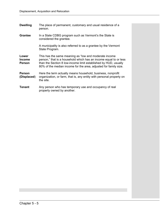| <b>Dwelling</b>                         | The place of permanent, customary and usual residence of a<br>person.                                                                                                                                                                                              |
|-----------------------------------------|--------------------------------------------------------------------------------------------------------------------------------------------------------------------------------------------------------------------------------------------------------------------|
| <b>Grantee</b>                          | In a State CDBG program such as Vermont's the State is<br>considered the grantee.                                                                                                                                                                                  |
|                                         | A municipality is also referred to as a grantee by the Vermont<br>State Program.                                                                                                                                                                                   |
| Lower<br><b>Income</b><br><b>Person</b> | This has the same meaning as "low and moderate income"<br>person," that is a household which has an income equal to or less<br>than the Section 8 low-income limit established by HUD, usually<br>80% of the median income for the area, adjusted for family size. |
| <b>Person</b><br>(Displaced)            | Here the term actually means household, business, nonprofit<br>organization, or farm, that is, any entity with personal property on<br>the site.                                                                                                                   |
| <b>Tenant</b>                           | Any person who has temporary use and occupancy of real<br>property owned by another.                                                                                                                                                                               |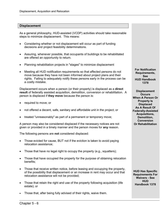#### **Displacement**

As a general philosophy, HUD-assisted (VCDP) activities should take reasonable steps to minimize displacement. This means:

- Considering whether or not displacement will occur as part of funding decisions and project feasibility determinations.
- Assuring, whenever possible, that occupants of buildings to be rehabilitated are offered an opportunity to return.
- Planning rehabilitation projects in "stages" to minimize displacement
- Meeting all HUD notification requirements so that affected persons do not move because they have not been informed about project plans and their rights. Failing to adequately notify these persons early in the process can be a costly mistake.

Displacement occurs when a person (or their property) is displaced as a **direct result** of federally assisted acquisition, demolition, conversion or rehabilitation. A person is displaced if **they move** because the person is:

- required to move; or
- not offered a decent, safe, sanitary and affordable unit in the project; or
- treated "unreasonably" as part of a permanent or temporary move;

A person may also be considered displaced if the necessary notices are not given or provided in a timely manner and the person moves for **any** reason.

The following persons are **not** considered displaced:

- Those evicted for cause, BUT not if the eviction is taken to avoid paying relocation assistance;
- Those that have no legal right to occupy the property (e.g., squatters);
- Those that have occupied the property for the purpose of obtaining relocation benefits;
- Those that receive written notice, before leasing and occupying the property, of the possibility that displacement or an increase in rent may occur and that relocation assistance will not be provided;
- Those that retain the right and use of the property following acquisition (life estate); or
- Those that, after being fully advised of their rights, waive them.

**For Notification Requirements, See HUD Handbook 1378**

**Displacement Occurs When A Person Or Property Is Displaced As A Result Of Federally-Assisted Acquisitions, Demolition, Conversion Or Rehabilitation**

**HUD Has Specific Requirements For Waivers - See HUD Handbook 1378**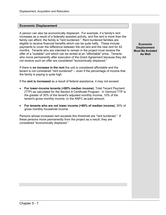#### **Economic Displacement**

A person can also be economically displaced. For example, if a family's rent increases as a result of a federally assisted activity, and the rent is more than the family can afford, the family is "rent burdened." Rent burdened families are eligible to receive financial benefits which can be quite hefty. These include payments to cover the difference between the old rent and the new rent for 42 months. Tenants who are intended to remain in the project must receive the offer of a "suitable" unit which can be rented at an "affordable" price. Tenants who move permanently after execution of the Grant Agreement because they did not receive such an offer are considered "economically displaced."

If there is **no increase in the rent** the unit is considered affordable and the tenant is not considered "rent burdened" -- even if the percentage of income that the family is paying is quite high.

If the **rent is increased** as a result of federal assistance, it may not exceed:

- **For lower-income tenants (<80% median income)**, Total Tenant Payment (TTP) as calculated for the Section 8 Certificate Program. In Vermont TTP is the greater of 30% of the tenant's adjusted monthly income, 10% of the tenant's gross monthly income, or the ANFC as-paid amount.
- **For tenants who are not lower income (>80% of median income)**, 30% of gross monthly household income.

Persons whose increased rent exceeds this threshold are "rent burdened." If these persons move permanently from the project as a result, they are considered "economically displaced."

**Economic Displacement Must Be Avoided As Well**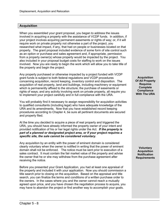# **Acquisition**

When you assembled your grant proposal, you began to address the issues involved in acquiring a property with the assistance of VCDP funds. In addition, if your project involves acquiring permanent easements or rights of way; or, if it will require work on private property not otherwise a part of the project, you researched what impact, if any, that had on people or businesses located on that property. The grant proposal included evidence of some form of site control such as an option or purchase and sales agreement and, if appropriate, permission from a property owner(s) whose property would be impacted by the project. You also included in your proposal budget costs for staffing to work on the issues involved. Now you are ready to begin the work which will allow you to take title of the property and begin the project.

Any property purchased or otherwise impacted by a project funded with VCDP grant funds is subject to both federal regulations and VCDP procedures concerning acquisition, record keeping, inventory control and disposition. The acquisition of real property, land and buildings, including machinery or equipment which is permanently affixed to the structure; the purchase of easements or rights of ways; and any activity involving work on private property, all require you to implement your project carefully and in full compliance with the URA.

You will probably find it necessary to assign responsibility for acquisition activities to qualified consultants (including legal) who have adequate knowledge of the URA and its amendments. Now that you have established record keeping procedures according to Chapter 4, be sure all pertinent documents are secured and properly filed.

At the time you decided to acquire a piece of real property and triggered the URA, you should have already informed the property owner of your intent and provided notification of his or her legal rights under the Act. *If the property is part of a planned or designated project area, or if your project requires a specific site, the sale cannot be considered voluntary.*

Any acquisition by an entity with the power of eminent domain is considered clearly voluntary when the owner is notified in writing that the power of eminent domain shall not be enforced. The notice must be sent prior to execution of a sales contract. It must contain the fair market value of the property and advise the owner that he or she may withdraw from the purchase agreement after receiving the notice.

Before you presented your Grant Application, you had at least one appraisal of the property and included it with your application. Now you should commission a title search prior to closing on the acquisition. Based on the appraisal and title search, you can finalize the terms and conditions of a written purchase order to the owners. In the cases where you and the owner cannot reach a mutually agreed upon price, and you have chosen the negotiation process to acquire, you may have to abandon the project or find another way to accomplish your goals.

**Acquisition Of All Property Requires Complete Compliance With The URA** 

**Voluntary Acquisition Notification Requirements**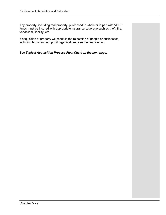Any property, including real property, purchased in whole or in part with VCDP funds must be insured with appropriate insurance coverage such as theft, fire, vandalism, liability, etc.

If acquisition of property will result in the relocation of people or businesses, including farms and nonprofit organizations, see the next section.

### *See Typical Acquisition Process Flow Chart on the next page.*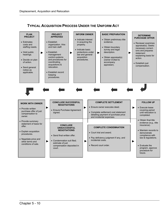**TYPICAL ACQUISITION PROCESS UNDER THE UNIFORM ACT**

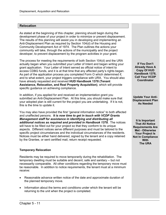#### **Relocation**

As stated at the beginning of this chapter, planning should begin during the development phase of your project in order to minimize or prevent displacement. The results of this planning will assist you in developing and implementing an Anti-Displacement Plan as required by Section 104(d) of the Housing and Community Development Act of 1974. The Plan outlines the actions your community will take, through the actions of the municipality and the project developer, to prevent displacement by the program activities in your grant.

The process for meeting the requirements of both Section 104(d) and the URA actually began when you submitted your Letter of Intent and began writing your grant application. Your Letter of Intent served as official notice of intent to access CDBG funds, and it is at that time that any affected party's rights began. As part of the application process you completed Form O which determined if, and to what extent, your project triggers compliance with URA. You should also have already requested and received **HUD Handbook 1378 (Tenant Assistance, Relocation, and Real Property Acquisition)**, which will provide specific guidance on achieving compliance.

In addition, if you applied for and received an implementation grant you submitted an Anti-Displacement Plan. At this time, you should make sure that your adopted plan is still current for the project you are undertaking. If it is not, this is the time to update it.

You may also have provided the first "general information notice" to both affected and unaffected persons. *It is now time to get in touch with VCDP Grants Management staff for assistance in identifying and distributing all additional notices as required and provided in Handbook 1378.*The notices will have to be filled out for your project so that they conform to its unique aspects. Different notices serve different purposes and must be tailored to the specific project circumstances and the individual circumstances of the residents. Notices must be either hand delivered, signed by the tenant and a copy retained by the Grantee, or sent certified mail, return receipt requested.

#### **Temporary Relocation**

Residents may be required to move temporarily during the rehabilitation. The temporary dwelling must be suitable and decent, safe and sanitary -- but not necessarily comparable. All other conditions regarding the temporary move must be reasonable. In addition to notice requirements, the tenant must at a minimum receive:

- Reasonable advance written notice of the date and approximate duration of the planned temporary move.
- Information about the terms and conditions under which the tenant will be returning to the unit when the project is completed.

**If You Don't Already Have A Copy Of HUD Handbook 1378, Call Your VCDP Coordinator**

**Update Your Anti-Displacement Plan As Needed** 

**It Is Important That All Notice Requirements Are Met - Otherwise Your Project Is Not In Compliance With The URA**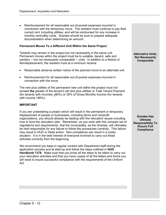• Reimbursement for all reasonable out-of-pocket expenses incurred in connection with the temporary move. The resident must continue to pay their current rent, including utilities, and will be reimbursed for any increase in monthly rent/utility costs. Grantee should be sure to prepare adequate documentation when determining an amount.

#### **Permanent Moves To a Different Unit Within the Same Project**

Tenants may remain in the project but not necessarily in the same unit. Permanent moves within the project must be to suitable, decent, safe and sanitary -- but not necessarily comparable -- units. In addition to a Notice of Nondisplacement, the resident must at a minimum receive:

- Reasonable advance written notice of the planned move to an alternate unit.
- Reimbursement for all reasonable out-of-pocket expenses incurred in connection with the move.

The rent plus utilities of the permanent new unit within the project must not exceed **the** greater of the tenant's old rent plus utilities or Total Tenant Payment (for tenants with incomes <80%) or 30% of Gross Monthly Income (for tenants with income >80%).

#### **IMPORTANT**

If you are undertaking a project which will result in the permanent or temporary displacement of people or businesses, including farms and nonprofit organizations, you should already be dealing with the relocation issues including how to fund the relocation plan. Remember, as you work with this complex set of regulations and requirements, that the municipality, as the Grantee, will ultimately be held responsible for any failure to follow the procedures correctly. This failure may result in HUD or State action. Non-compliance can result in a costly situation. It is in the best interest of everyone involved to carry out these activities correctly from the beginning.

We recommend you keep in regular contact with Department staff during the application process and at start-up and follow the steps outlined in **HUD Handbook 1378**. Make sure that you know all the steps to be taken to carry out your relocation activities and that you have copies of all the letters and forms you will need to insure successful compliance with the requirements of the Uniform Act.

**Alternative Units, Not Necessarily Comparable**

**Grantee Has Ultimate Responsibility To Ensure Full Compliance**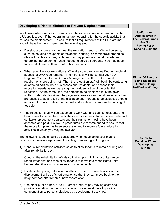# **Developing a Plan to Minimize or Prevent Displacement**

In all cases where relocation results from the expenditures of federal funds, the URA applies, even if the federal funds are not paying for the specific activity that causes the displacement. To ensure that all requirements of the URA are met, you will have begun to implement the following steps:

- Develop a concrete plan to meet the relocation needs of affected persons, such as housing occupants of residential housing, or commercial properties (this will involve a survey of those who may potentially be relocated), and determine the amount of funds needed to serve all persons. You may have to hire additional staff and hold public hearings.
- When you hire your relocation staff, make sure they are qualified to handle all aspects of URA requirements. Their first task will be contact your CD Regional Coordinator and Grants Management staff to make sure all requirements are being met. Then the relocation staff will begin by contacting all affected parties, both businesses and residents, and assess their relocation needs as well as giving them written notice of the potential relocation. At the same time, the persons to be displaced must be given written materials describing the payments, services and legal protections they are entitled to as a result of the displacement. Persons to be displaced should receive information related to the cost and location of comparable housing, if feasible.
- The relocation staff will be expected to work with and counsel residents and businesses to be displaced until they are located in suitable (decent, safe and sanitary) replacement quarters and their claims for moving have been accepted and paid. Follow-up procedures are recommended to ensure that the relocation plan has been successful and to improve future relocation activities in which you may be involved.

The following issues should be considered when developing your plan to minimize or prevent displacement resulting from your grant program:

1) Conduct rehabilitation activities so as to allow tenants to remain during and after rehabilitation, *or;*

Conduct the rehabilitation efforts so that empty buildings or units can be rehabilitated first and then allow tenants to move into rehabilitated units before rehabilitation commences on occupied units.

- 2) Establish temporary relocation facilities in order to house families whose displacement will be of short duration so that they can move back to their neighborhood after rehab or new construction.
- 3) Use other public funds, or VCDP grant funds, to pay moving costs and provide relocation payments, or require private developers to provide compensation to persons displaced by development activities.

**Uniform Act Applies Even If The Federal Funds Are Not Paying For A Specific Element**

**Rights Of Persons Being Displaced Include Being Notified In Writing**

**Issues To Consider When Developing A Plan**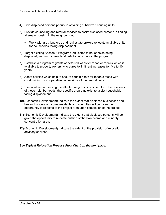- 4) Give displaced persons priority in obtaining subsidized housing units.
- 5) Provide counseling and referral services to assist displaced persons in finding alternate housing in the neighborhood.
	- Work with area landlords and real estate brokers to locate available units for households facing displacement.
- 6) Target existing Section 8 Program Certificates to households being displaced, and recruit area landlords to participate in the program.
- 7) Establish a program of grants or deferred loans for rehab or repairs which is available to property owners who agree to limit rent increases for five to 10 years.
- 8) Adopt policies which help to ensure certain rights for tenants faced with condominium or cooperative conversions of their rental units.
- 9) Use local media, serving the affected neighborhoods, to inform the residents of those neighborhoods, that specific programs exist to assist households facing displacement.
- 10) (Economic Development) Indicate the extent that displaced businesses and low and moderate income residents and minorities will be given the opportunity to relocate to the project area upon completion of the project.
- 11) (Economic Development) Indicate the extent that displaced persons will be given the opportunity to relocate outside of the low-income and minority concentration area.
- 12) (Economic Development) Indicate the extent of the provision of relocation advisory services.

#### *See Typical Relocation Process Flow Chart on the next page.*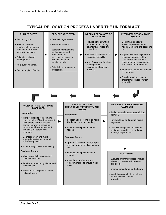# **TYPICAL RELOCATION PROCESS UNDER THE UNIFORM ACT**

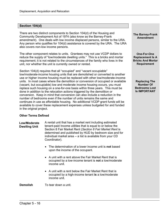## **Section 104(d)**

There are two distinct components to Section 104(d) of the Housing and Community Development Act of 1974 (also know as the Barney-Frank amendment). One deals with low income displaced persons, similar to the URA. Any person who qualifies for 104(d) assistance is covered by the URA. The URA also covers non-low income persons.

The other component relates to units. Grantees may not use VCDP dollars to reduce the supply of "low/moderate dwelling units." This is a bricks and mortar requirement; it is not related to the circumstances of the family who lives in the unit, nor whether the unit is currently owned or rented.

Section 104(d) requires that all "occupied" and "vacant occupiable" low/moderate-income housing units that are demolished or converted to another use or higher income housing must be replaced with other low/moderate-income units. In most cases where the demolition or conversion of occupied or available (vacant, but occupiable) low and moderate income housing occurs, you must replace such housing on a one-for-one basis within three years. This must be done in addition to the relocation actions triggered by the demolition or conversion. Keep in mind that conversion can also include a reduction in the number of bedrooms even if the number of units remains the same and continues in use as affordable housing. No additional VCDP grant funds will be available to cover these replacement expenses unless budgeted for and funded in the original project.

#### **Other Terms Defined**

 **Low/Moderate Dwelling Unit** 

 A rental unit that has a market rent including estimated tenant-paid Income utilities that is equal to or below the Section 8 Fair Market Rent (*Section 8 Fair Market Rent* is determined and published by HUD by bedroom size and for individual market area -- a list is available from your CD Coordinator).

- The determination of a lower income unit is **not** based upon the income of the occupant.
- A unit with a rent above the Fair Market Rent that is occupied by a low-income tenant is **not** a low/moderate income unit.
- A unit with a rent below the Fair Market Rent that is occupied by a high-income tenant **is** a low/moderate income unit.

**Demolish** To tear down a unit.

**The Barney-Frank Amendment** 

**One-For-One Replacement Is A Bricks And Mortar Requirement** 

**Replacing The Number Of Bedrooms Lost Is IMPORTANT**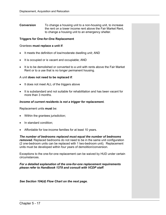**Conversion** To change a housing unit to a non-housing unit, to increase the rent on a lower income rent above the Fair Market Rent, to change a housing unit to an emergency shelter.

#### **Triggers for One-for-One Replacement**

#### Grantees **must replace a unit if**:

- It meets the definition of low/moderate dwelling unit; AND
- It is occupied or is vacant and occupiable; AND
- It is to be demolished or converted to a unit with rents above the Fair Market Rent or to a use that is no longer permanent housing.

#### A unit **does not need to be replaced if**:

- It does not meet ALL of the triggers above
- It is substandard and not suitable for rehabilitation and has been vacant for more than 3 months.

#### *Income of current residents is not a trigger for replacement.*

Replacement units **must** be:

- Within the grantees jurisdiction;
- In standard condition;
- Affordable for low-income families for at least 10 years.

*The number of bedrooms replaced must equal the number of bedrooms removed.* Replaced bedrooms do not need to be in the same unit configuration (2 one-bedroom units can be replaced with 1 two-bedroom unit). Replacement units must be developed within four years of demolition/conversion.

Exceptions to the one-for-one replacement can be waived by HUD under certain circumstances.

#### *For a detailed explanation of the one-for-one replacement requirements please refer to Handbook 1378 and consult with VCDP staff.*

*See Section 104(d) Flow Chart on the next page.*